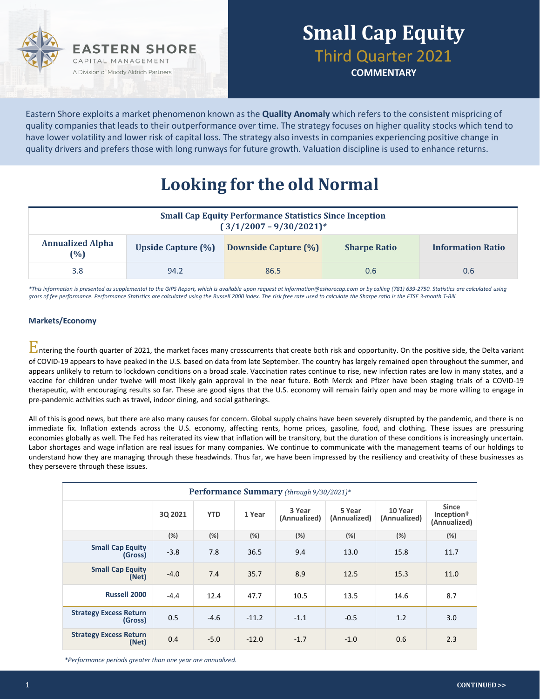

**COMMENTARY**

Eastern Shore exploits a market phenomenon known as the **Quality Anomaly** which refers to the consistent mispricing of quality companies that leads to their outperformance over time. The strategy focuses on higher quality stocks which tend to have lower volatility and lower risk of capital loss. The strategy also invests in companies experiencing positive change in quality drivers and prefers those with long runways for future growth. Valuation discipline is used to enhance returns.

## **Looking for the old Normal**

| <b>Small Cap Equity Performance Statistics Since Inception</b><br>$(3/1/2007 - 9/30/2021)^*$ |                           |                             |                     |                          |  |  |  |
|----------------------------------------------------------------------------------------------|---------------------------|-----------------------------|---------------------|--------------------------|--|--|--|
| <b>Annualized Alpha</b><br>(%)                                                               | <b>Upside Capture (%)</b> | <b>Downside Capture (%)</b> | <b>Sharpe Ratio</b> | <b>Information Ratio</b> |  |  |  |
| 3.8                                                                                          | 94.2                      | 86.5                        | 0.6                 | 0.6                      |  |  |  |

*\*This information is presented as supplemental to the GIPS Report, which is available upon request at information@eshorecap.com or by calling (781) 639-2750. Statistics are calculated using gross of fee performance. Performance Statistics are calculated using the Russell 2000 index. The risk free rate used to calculate the Sharpe ratio is the FTSE 3-month T-Bill.*

### **Markets/Economy**

 $\Gamma$ ntering the fourth quarter of 2021, the market faces many crosscurrents that create both risk and opportunity. On the positive side, the Delta variant of COVID-19 appears to have peaked in the U.S. based on data from late September. The country has largely remained open throughout the summer, and appears unlikely to return to lockdown conditions on a broad scale. Vaccination rates continue to rise, new infection rates are low in many states, and a vaccine for children under twelve will most likely gain approval in the near future. Both Merck and Pfizer have been staging trials of a COVID-19 therapeutic, with encouraging results so far. These are good signs that the U.S. economy will remain fairly open and may be more willing to engage in pre-pandemic activities such as travel, indoor dining, and social gatherings.

All of this is good news, but there are also many causes for concern. Global supply chains have been severely disrupted by the pandemic, and there is no immediate fix. Inflation extends across the U.S. economy, affecting rents, home prices, gasoline, food, and clothing. These issues are pressuring economies globally as well. The Fed has reiterated its view that inflation will be transitory, but the duration of these conditions is increasingly uncertain. Labor shortages and wage inflation are real issues for many companies. We continue to communicate with the management teams of our holdings to understand how they are managing through these headwinds. Thus far, we have been impressed by the resiliency and creativity of these businesses as they persevere through these issues.

| Performance Summary (through 9/30/2021)* |         |            |         |                        |                        |                         |                                                        |
|------------------------------------------|---------|------------|---------|------------------------|------------------------|-------------------------|--------------------------------------------------------|
|                                          | 3Q 2021 | <b>YTD</b> | 1 Year  | 3 Year<br>(Annualized) | 5 Year<br>(Annualized) | 10 Year<br>(Annualized) | <b>Since</b><br>Inception <sup>†</sup><br>(Annualized) |
|                                          | (%)     | (%)        | (%)     | (%)                    | (%)                    | (%)                     | (%)                                                    |
| <b>Small Cap Equity</b><br>(Gross)       | $-3.8$  | 7.8        | 36.5    | 9.4                    | 13.0                   | 15.8                    | 11.7                                                   |
| <b>Small Cap Equity</b><br>(Net)         | $-4.0$  | 7.4        | 35.7    | 8.9                    | 12.5                   | 15.3                    | 11.0                                                   |
| <b>Russell 2000</b>                      | $-4.4$  | 12.4       | 47.7    | 10.5                   | 13.5                   | 14.6                    | 8.7                                                    |
| <b>Strategy Excess Return</b><br>(Gross) | 0.5     | $-4.6$     | $-11.2$ | $-1.1$                 | $-0.5$                 | 1.2                     | 3.0                                                    |
| <b>Strategy Excess Return</b><br>(Net)   | 0.4     | $-5.0$     | $-12.0$ | $-1.7$                 | $-1.0$                 | 0.6                     | 2.3                                                    |

*\*Performance periods greater than one year are annualized.*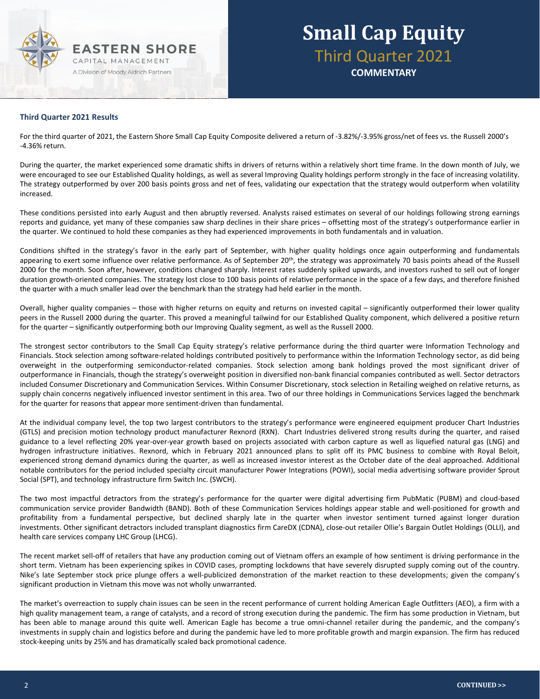

# **Small Cap Equity** Third Quarter 2021

**COMMENTARY**

#### **Third Quarter 2021 Results**

For the third quarter of 2021, the Eastern Shore Small Cap Equity Composite delivered a return of -3.82%/-3.95% gross/net of fees vs. the Russell 2000's -4.36% return.

During the quarter, the market experienced some dramatic shifts in drivers of returns within a relatively short time frame. In the down month of July, we were encouraged to see our Established Quality holdings, as well as several Improving Quality holdings perform strongly in the face of increasing volatility. The strategy outperformed by over 200 basis points gross and net of fees, validating our expectation that the strategy would outperform when volatility increased.

These conditions persisted into early August and then abruptly reversed. Analysts raised estimates on several of our holdings following strong earnings reports and guidance, yet many of these companies saw sharp declines in their share prices – offsetting most of the strategy's outperformance earlier in the quarter. We continued to hold these companies as they had experienced improvements in both fundamentals and in valuation.

Conditions shifted in the strategy's favor in the early part of September, with higher quality holdings once again outperforming and fundamentals appearing to exert some influence over relative performance. As of September 20<sup>th</sup>, the strategy was approximately 70 basis points ahead of the Russell 2000 for the month. Soon after, however, conditions changed sharply. Interest rates suddenly spiked upwards, and investors rushed to sell out of longer duration growth-oriented companies. The strategy lost close to 100 basis points of relative performance in the space of a few days, and therefore finished the quarter with a much smaller lead over the benchmark than the strategy had held earlier in the month.

Overall, higher quality companies – those with higher returns on equity and returns on invested capital – significantly outperformed their lower quality peers in the Russell 2000 during the quarter. This proved a meaningful tailwind for our Established Quality component, which delivered a positive return for the quarter – significantly outperforming both our Improving Quality segment, as well as the Russell 2000.

The strongest sector contributors to the Small Cap Equity strategy's relative performance during the third quarter were Information Technology and Financials. Stock selection among software-related holdings contributed positively to performance within the Information Technology sector, as did being overweight in the outperforming semiconductor-related companies. Stock selection among bank holdings proved the most significant driver of outperformance in Financials, though the strategy's overweight position in diversified non-bank financial companies contributed as well. Sector detractors included Consumer Discretionary and Communication Services. Within Consumer Discretionary, stock selection in Retailing weighed on relative returns, as supply chain concerns negatively influenced investor sentiment in this area. Two of our three holdings in Communications Services lagged the benchmark for the quarter for reasons that appear more sentiment-driven than fundamental.

At the individual company level, the top two largest contributors to the strategy's performance were engineered equipment producer Chart Industries (GTLS) and precision motion technology product manufacturer Rexnord (RXN). Chart Industries delivered strong results during the quarter, and raised guidance to a level reflecting 20% year-over-year growth based on projects associated with carbon capture as well as liquefied natural gas (LNG) and hydrogen infrastructure initiatives. Rexnord, which in February 2021 announced plans to split off its PMC business to combine with Royal Beloit, experienced strong demand dynamics during the quarter, as well as increased investor interest as the October date of the deal approached. Additional notable contributors for the period included specialty circuit manufacturer Power Integrations (POWI), social media advertising software provider Sprout Social (SPT), and technology infrastructure firm Switch Inc. (SWCH).

The two most impactful detractors from the strategy's performance for the quarter were digital advertising firm PubMatic (PUBM) and cloud-based communication service provider Bandwidth (BAND). Both of these Communication Services holdings appear stable and well-positioned for growth and profitability from a fundamental perspective, but declined sharply late in the quarter when investor sentiment turned against longer duration investments. Other significant detractors included transplant diagnostics firm CareDX (CDNA), close-out retailer Ollie's Bargain Outlet Holdings (OLLI), and health care services company LHC Group (LHCG).

The recent market sell-off of retailers that have any production coming out of Vietnam offers an example of how sentiment is driving performance in the short term. Vietnam has been experiencing spikes in COVID cases, prompting lockdowns that have severely disrupted supply coming out of the country. Nike's late September stock price plunge offers a well-publicized demonstration of the market reaction to these developments; given the company's significant production in Vietnam this move was not wholly unwarranted.

The market's overreaction to supply chain issues can be seen in the recent performance of current holding American Eagle Outfitters (AEO), a firm with a high quality management team, a range of catalysts, and a record of strong execution during the pandemic. The firm has some production in Vietnam, but has been able to manage around this quite well. American Eagle has become a true omni-channel retailer during the pandemic, and the company's investments in supply chain and logistics before and during the pandemic have led to more profitable growth and margin expansion. The firm has reduced stock-keeping units by 25% and has dramatically scaled back promotional cadence.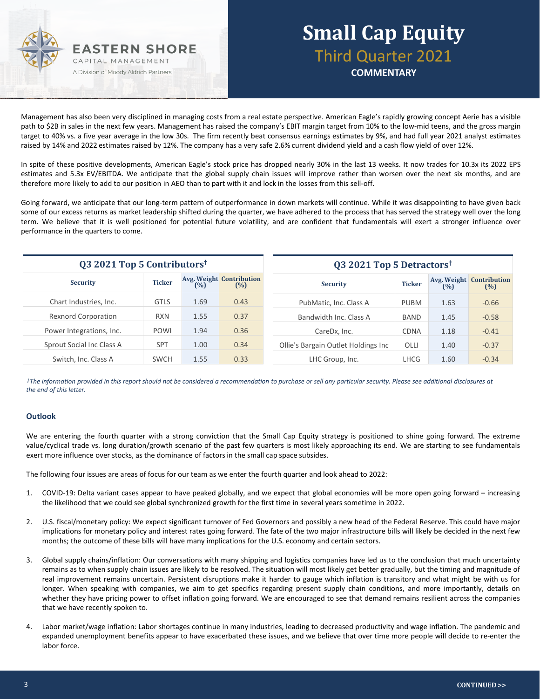

### **Small Cap Equity** Third Quarter 2021 **COMMENTARY**

Management has also been very disciplined in managing costs from a real estate perspective. American Eagle's rapidly growing concept Aerie has a visible path to \$2B in sales in the next few years. Management has raised the company's EBIT margin target from 10% to the low-mid teens, and the gross margin target to 40% vs. a five year average in the low 30s. The firm recently beat consensus earnings estimates by 9%, and had full year 2021 analyst estimates raised by 14% and 2022 estimates raised by 12%. The company has a very safe 2.6% current dividend yield and a cash flow yield of over 12%.

In spite of these positive developments, American Eagle's stock price has dropped nearly 30% in the last 13 weeks. It now trades for 10.3x its 2022 EPS estimates and 5.3x EV/EBITDA. We anticipate that the global supply chain issues will improve rather than worsen over the next six months, and are therefore more likely to add to our position in AEO than to part with it and lock in the losses from this sell-off.

Going forward, we anticipate that our long-term pattern of outperformance in down markets will continue. While it was disappointing to have given back some of our excess returns as market leadership shifted during the quarter, we have adhered to the process that has served the strategy well over the long term. We believe that it is well positioned for potential future volatility, and are confident that fundamentals will exert a stronger influence over performance in the quarters to come.

| Q3 2021 Top 5 Contributors <sup>†</sup> |               |      | Q3 2021 Top 5 Detractors <sup>†</sup>  |                                     |               |      |                                        |
|-----------------------------------------|---------------|------|----------------------------------------|-------------------------------------|---------------|------|----------------------------------------|
| <b>Security</b>                         | <b>Ticker</b> | (%)  | <b>Avg. Weight Contribution</b><br>(%) | <b>Security</b>                     | <b>Ticker</b> | (%)  | <b>Avg. Weight Contribution</b><br>(%) |
| Chart Industries, Inc.                  | <b>GTLS</b>   | 1.69 | 0.43                                   | PubMatic, Inc. Class A              | <b>PUBM</b>   | 1.63 | $-0.66$                                |
| <b>Rexnord Corporation</b>              | <b>RXN</b>    | 1.55 | 0.37                                   | Bandwidth Inc. Class A              | <b>BAND</b>   | 1.45 | $-0.58$                                |
| Power Integrations, Inc.                | <b>POWI</b>   | 1.94 | 0.36                                   | CareDx, Inc.                        | <b>CDNA</b>   | 1.18 | $-0.41$                                |
| Sprout Social Inc Class A               | <b>SPT</b>    | 1.00 | 0.34                                   | Ollie's Bargain Outlet Holdings Inc | OLLI          | 1.40 | $-0.37$                                |
| Switch, Inc. Class A                    | <b>SWCH</b>   | 1.55 | 0.33                                   | LHC Group, Inc.                     | <b>LHCG</b>   | 1.60 | $-0.34$                                |

*†The information provided in this report should not be considered a recommendation to purchase or sell any particular security. Please see additional disclosures at the end of this letter.*

#### **Outlook**

We are entering the fourth quarter with a strong conviction that the Small Cap Equity strategy is positioned to shine going forward. The extreme value/cyclical trade vs. long duration/growth scenario of the past few quarters is most likely approaching its end. We are starting to see fundamentals exert more influence over stocks, as the dominance of factors in the small cap space subsides.

The following four issues are areas of focus for our team as we enter the fourth quarter and look ahead to 2022:

- 1. COVID-19: Delta variant cases appear to have peaked globally, and we expect that global economies will be more open going forward increasing the likelihood that we could see global synchronized growth for the first time in several years sometime in 2022.
- 2. U.S. fiscal/monetary policy: We expect significant turnover of Fed Governors and possibly a new head of the Federal Reserve. This could have major implications for monetary policy and interest rates going forward. The fate of the two major infrastructure bills will likely be decided in the next few months; the outcome of these bills will have many implications for the U.S. economy and certain sectors.
- 3. Global supply chains/inflation: Our conversations with many shipping and logistics companies have led us to the conclusion that much uncertainty remains as to when supply chain issues are likely to be resolved. The situation will most likely get better gradually, but the timing and magnitude of real improvement remains uncertain. Persistent disruptions make it harder to gauge which inflation is transitory and what might be with us for longer. When speaking with companies, we aim to get specifics regarding present supply chain conditions, and more importantly, details on whether they have pricing power to offset inflation going forward. We are encouraged to see that demand remains resilient across the companies that we have recently spoken to.
- 4. Labor market/wage inflation: Labor shortages continue in many industries, leading to decreased productivity and wage inflation. The pandemic and expanded unemployment benefits appear to have exacerbated these issues, and we believe that over time more people will decide to re-enter the labor force.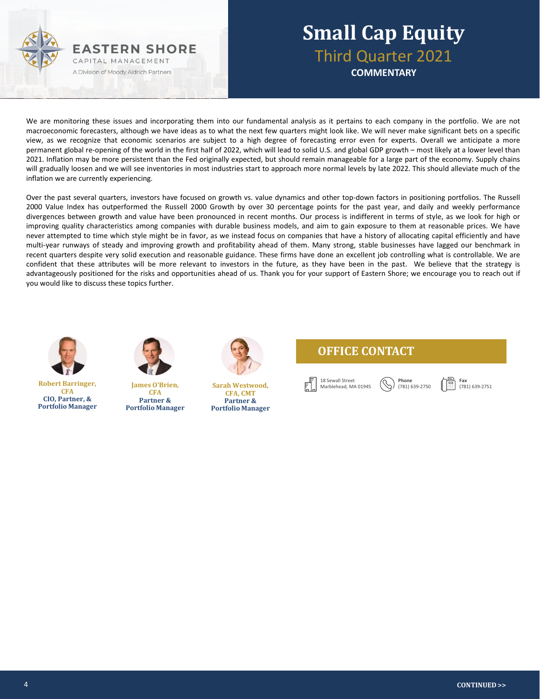

### **Small Cap Equity** Third Quarter 2021 **COMMENTARY**

We are monitoring these issues and incorporating them into our fundamental analysis as it pertains to each company in the portfolio. We are not macroeconomic forecasters, although we have ideas as to what the next few quarters might look like. We will never make significant bets on a specific view, as we recognize that economic scenarios are subject to a high degree of forecasting error even for experts. Overall we anticipate a more permanent global re-opening of the world in the first half of 2022, which will lead to solid U.S. and global GDP growth – most likely at a lower level than 2021. Inflation may be more persistent than the Fed originally expected, but should remain manageable for a large part of the economy. Supply chains will gradually loosen and we will see inventories in most industries start to approach more normal levels by late 2022. This should alleviate much of the inflation we are currently experiencing.

Over the past several quarters, investors have focused on growth vs. value dynamics and other top-down factors in positioning portfolios. The Russell 2000 Value Index has outperformed the Russell 2000 Growth by over 30 percentage points for the past year, and daily and weekly performance divergences between growth and value have been pronounced in recent months. Our process is indifferent in terms of style, as we look for high or improving quality characteristics among companies with durable business models, and aim to gain exposure to them at reasonable prices. We have never attempted to time which style might be in favor, as we instead focus on companies that have a history of allocating capital efficiently and have multi-year runways of steady and improving growth and profitability ahead of them. Many strong, stable businesses have lagged our benchmark in recent quarters despite very solid execution and reasonable guidance. These firms have done an excellent job controlling what is controllable. We are confident that these attributes will be more relevant to investors in the future, as they have been in the past. We believe that the strategy is advantageously positioned for the risks and opportunities ahead of us. Thank you for your support of Eastern Shore; we encourage you to reach out if you would like to discuss these topics further.



**Robert Barringer, CFA CIO, Partner, & Portfolio Manager**



**James O'Brien, CFA Partner & Portfolio Manager**



**Sarah Westwood, CFA, CMT Partner & Portfolio Manager**